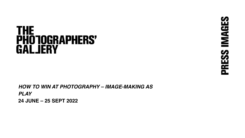# **THE<br>PHOTOGRAPHERS'<br>GALJERY**

*HOW TO WIN AT PHOTOGRAPHY – IMAGE-MAKING AS PLAY* **24 JUNE – 25 SEPT 2022**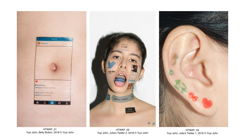

HTWAP\_01 Yuyi John, Belly Button, 2018 © Yuyi John

HTWAP\_02 Yuyi John, Julia's Twitter 2, 2016 © Yuyi John

HTWAP\_03 Yuyi John, Julia's Twitter 1, 2016 © Yuyi John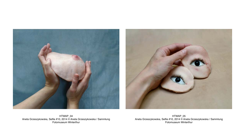

HTWAP\_05 Aneta Grzeszykowska, Selfie #10, 2014 © Aneta Grzeszykowska / Sammlung Fotomuseum Winterthur

HTWAP\_04 Aneta Grzeszykowska, Selfie #10, 2014 © Aneta Grzeszykowska / Sammlung Fotomuseum Winterthur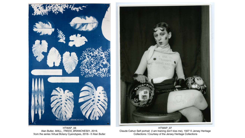



HTWAP\_06 Alan Butler, *MALL\_TREES\_BRANCHES01,* 2019, from the series Virtual Botany Cyanotypes, 2016– © Alan Butler

HTWAP\_07 Claude Cahun Self portrait (I am training don't kiss me), 1927 © Jersey Heritage Collections / Courtesy of the Jersey Heritage Collections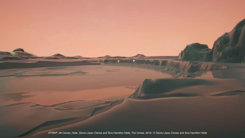HTWAP\_08 Cleries\_Helle\_Gloria López Cleries and Sive Hamilton Helle, The Unreal, 2019– © Gloria López Cleries and Sive Hamilton Helle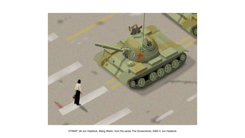

HTWAP\_09 Jon Haddock, Wang Weilin, from the series The Screenshots, 2000 © Jon Haddock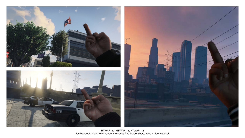





HTWAP\_10, HTWAP\_11, HTWAP\_12 Jon Haddock, Wang Weilin, from the series The Screenshots, 2000 © Jon Haddock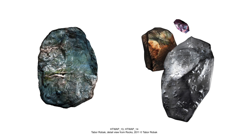